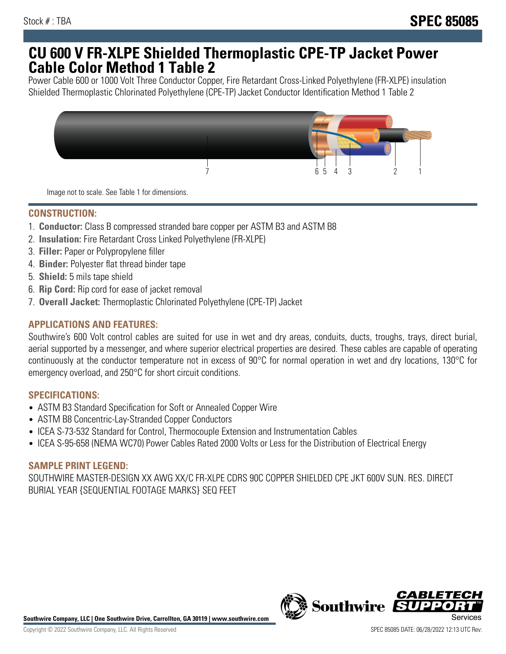## **CU 600 V FR-XLPE Shielded Thermoplastic CPE-TP Jacket Power Cable Color Method 1 Table 2**

Power Cable 600 or 1000 Volt Three Conductor Copper, Fire Retardant Cross-Linked Polyethylene (FR-XLPE) insulation Shielded Thermoplastic Chlorinated Polyethylene (CPE-TP) Jacket Conductor Identification Method 1 Table 2



Image not to scale. See Table 1 for dimensions.

## **CONSTRUCTION:**

- 1. **Conductor:** Class B compressed stranded bare copper per ASTM B3 and ASTM B8
- 2. **Insulation:** Fire Retardant Cross Linked Polyethylene (FR-XLPE)
- 3. **Filler:** Paper or Polypropylene filler
- 4. **Binder:** Polyester flat thread binder tape
- 5. **Shield:** 5 mils tape shield
- 6. **Rip Cord:** Rip cord for ease of jacket removal
- 7. **Overall Jacket:** Thermoplastic Chlorinated Polyethylene (CPE-TP) Jacket

### **APPLICATIONS AND FEATURES:**

Southwire's 600 Volt control cables are suited for use in wet and dry areas, conduits, ducts, troughs, trays, direct burial, aerial supported by a messenger, and where superior electrical properties are desired. These cables are capable of operating continuously at the conductor temperature not in excess of 90°C for normal operation in wet and dry locations, 130°C for emergency overload, and 250°C for short circuit conditions.

#### **SPECIFICATIONS:**

- ASTM B3 Standard Specification for Soft or Annealed Copper Wire
- ASTM B8 Concentric-Lay-Stranded Copper Conductors
- ICEA S-73-532 Standard for Control, Thermocouple Extension and Instrumentation Cables
- ICEA S-95-658 (NEMA WC70) Power Cables Rated 2000 Volts or Less for the Distribution of Electrical Energy

#### **SAMPLE PRINT LEGEND:**

SOUTHWIRE MASTER-DESIGN XX AWG XX/C FR-XLPE CDRS 90C COPPER SHIELDED CPE JKT 600V SUN. RES. DIRECT BURIAL YEAR {SEQUENTIAL FOOTAGE MARKS} SEQ FEET